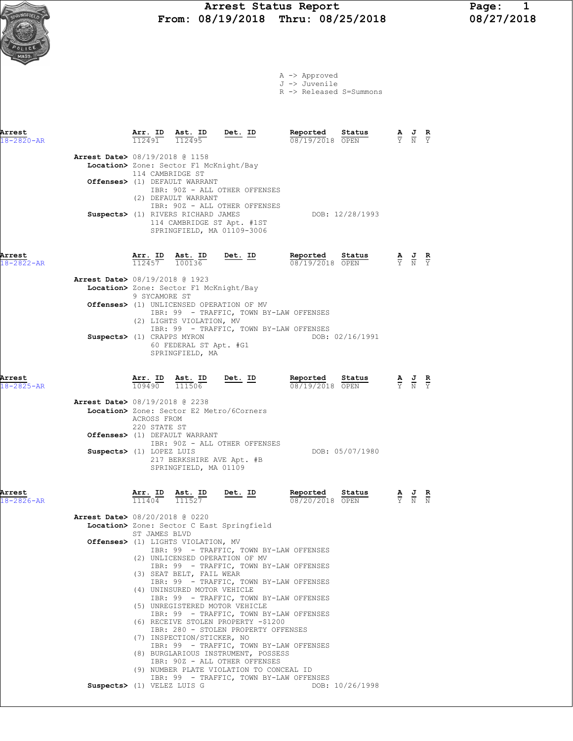# Arrest Status Report Page: 1<br>
08/19/2018 Thru: 08/25/2018 08/27/2018  $\frac{1}{R_0\text{NCF}E_{LO}}$  From: 08/19/2018 Thru: 08/25/2018

Arrest Arr. ID Ast. ID Det. ID Reported Status A J R 18-2820-AR 112491 112495 08/19/2018 OPEN Y N Y

Arrest Date> 08/19/2018 @ 1158

A -> Approved J -> Juvenile

R -> Released S=Summons

|                            | Location> Zone: Sector F1 McKnight/Bay<br>114 CAMBRIDGE ST<br>Offenses> (1) DEFAULT WARRANT<br>IBR: 90Z - ALL OTHER OFFENSES<br>(2) DEFAULT WARRANT<br>IBR: 90Z - ALL OTHER OFFENSES<br>Suspects> (1) RIVERS RICHARD JAMES<br>DOB: 12/28/1993<br>114 CAMBRIDGE ST Apt. #1ST<br>SPRINGFIELD, MA 01109-3006                                                                                                                                                                                                                                                                                                                                                                                                                                                       |                                                                                                 |                               |
|----------------------------|-----------------------------------------------------------------------------------------------------------------------------------------------------------------------------------------------------------------------------------------------------------------------------------------------------------------------------------------------------------------------------------------------------------------------------------------------------------------------------------------------------------------------------------------------------------------------------------------------------------------------------------------------------------------------------------------------------------------------------------------------------------------|-------------------------------------------------------------------------------------------------|-------------------------------|
| Arrest<br>$18 - 2822 - AR$ | $\frac{\texttt{Arr.}}{112457}$ $\frac{\texttt{lab}}{100136}$<br>Det. ID<br>Reported Status<br><b>Reported</b> Status $\frac{A}{0.8 \times 19 \times 2018}$ $\frac{B}{0.8 \times 19 \times 2018}$ $\frac{B}{0.8 \times 19 \times 2018}$ $\frac{C}{0.8 \times 19 \times 19 \times 2018}$                                                                                                                                                                                                                                                                                                                                                                                                                                                                          |                                                                                                 |                               |
|                            | Arrest Date> 08/19/2018 @ 1923<br>Location> Zone: Sector F1 McKnight/Bay<br>9 SYCAMORE ST                                                                                                                                                                                                                                                                                                                                                                                                                                                                                                                                                                                                                                                                       |                                                                                                 |                               |
|                            | Offenses> (1) UNLICENSED OPERATION OF MV<br>IBR: 99 - TRAFFIC, TOWN BY-LAW OFFENSES<br>(2) LIGHTS VIOLATION, MV                                                                                                                                                                                                                                                                                                                                                                                                                                                                                                                                                                                                                                                 |                                                                                                 |                               |
|                            | IBR: 99 - TRAFFIC, TOWN BY-LAW OFFENSES<br>Suspects> (1) CRAPPS MYRON<br>DOB: 02/16/1991<br>60 FEDERAL ST Apt. #G1<br>SPRINGFIELD, MA                                                                                                                                                                                                                                                                                                                                                                                                                                                                                                                                                                                                                           |                                                                                                 |                               |
| Arrest<br>18-2825-AR       | $\frac{\text{Arr}}{\text{max}}$ $\frac{\text{ID}}{\text{max}}$ $\frac{\text{Rst}}{\text{max}}$<br><u>Det. ID</u><br>Reported<br>Sta <u>tus</u><br>$\frac{\mathbf{A}}{\mathbf{Y}}$ $\frac{\mathbf{J}}{\mathbf{N}}$<br>109490<br>111506<br>08/19/2018 OPEN                                                                                                                                                                                                                                                                                                                                                                                                                                                                                                        |                                                                                                 | $rac{\mathbf{R}}{\mathbf{Y}}$ |
|                            | Arrest Date> 08/19/2018 @ 2238<br>Location> Zone: Sector E2 Metro/6Corners<br>ACROSS FROM<br>220 STATE ST<br>Offenses> (1) DEFAULT WARRANT                                                                                                                                                                                                                                                                                                                                                                                                                                                                                                                                                                                                                      |                                                                                                 |                               |
|                            | IBR: 90Z - ALL OTHER OFFENSES<br>Suspects> (1) LOPEZ LUIS<br>DOB: 05/07/1980<br>217 BERKSHIRE AVE Apt. #B<br>SPRINGFIELD, MA 01109                                                                                                                                                                                                                                                                                                                                                                                                                                                                                                                                                                                                                              |                                                                                                 |                               |
| Arrest<br>$18 - 2826 - AR$ | $\frac{\texttt{Arr.}}{111404}$ $\frac{\texttt{ Ast.}}{111527}$<br><u>Det. ID</u><br>Reported<br>Status<br>08/20/2018 OPEN                                                                                                                                                                                                                                                                                                                                                                                                                                                                                                                                                                                                                                       | $\frac{\mathbf{A}}{\mathbf{Y}}$ $\frac{\mathbf{J}}{\mathbf{N}}$ $\frac{\mathbf{R}}{\mathbf{N}}$ |                               |
|                            | <b>Arrest Date&gt; 08/20/2018 @ 0220</b><br>Location> Zone: Sector C East Springfield<br>ST JAMES BLVD                                                                                                                                                                                                                                                                                                                                                                                                                                                                                                                                                                                                                                                          |                                                                                                 |                               |
|                            | Offenses> (1) LIGHTS VIOLATION, MV<br>IBR: 99 - TRAFFIC, TOWN BY-LAW OFFENSES<br>(2) UNLICENSED OPERATION OF MV<br>IBR: 99 - TRAFFIC, TOWN BY-LAW OFFENSES<br>(3) SEAT BELT, FAIL WEAR<br>IBR: 99 - TRAFFIC, TOWN BY-LAW OFFENSES<br>(4) UNINSURED MOTOR VEHICLE<br>IBR: 99 - TRAFFIC, TOWN BY-LAW OFFENSES<br>(5) UNREGISTERED MOTOR VEHICLE<br>IBR: 99 - TRAFFIC, TOWN BY-LAW OFFENSES<br>(6) RECEIVE STOLEN PROPERTY -\$1200<br>IBR: 280 - STOLEN PROPERTY OFFENSES<br>(7) INSPECTION/STICKER, NO<br>IBR: 99 - TRAFFIC, TOWN BY-LAW OFFENSES<br>(8) BURGLARIOUS INSTRUMENT, POSSESS<br>IBR: 90Z - ALL OTHER OFFENSES<br>(9) NUMBER PLATE VIOLATION TO CONCEAL ID<br>IBR: 99 - TRAFFIC, TOWN BY-LAW OFFENSES<br>Suspects> (1) VELEZ LUIS G<br>DOB: 10/26/1998 |                                                                                                 |                               |
|                            |                                                                                                                                                                                                                                                                                                                                                                                                                                                                                                                                                                                                                                                                                                                                                                 |                                                                                                 |                               |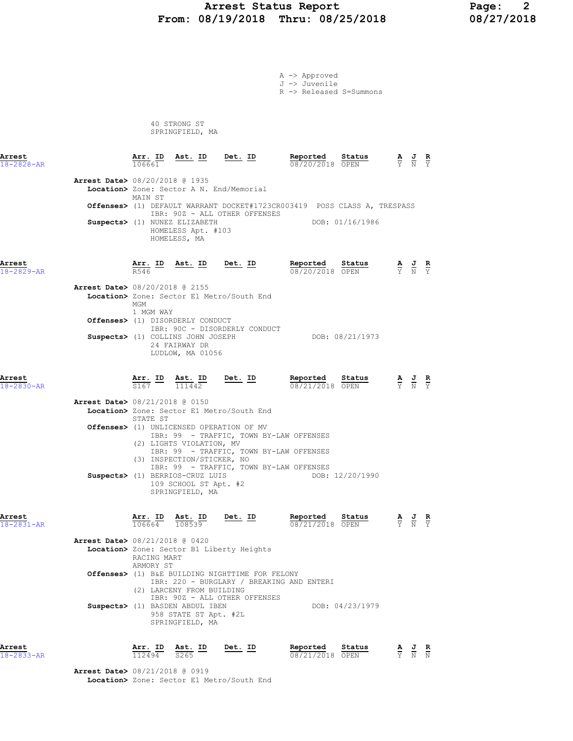# Arrest Status Report 1992 - Page: 2<br>18/19/2018 Thru: 08/25/2018 - 208/27/2018 From: 08/19/2018 Thru: 08/25/2018

A -> Approved

|                            |                                                                                       |                                                                    |                                                                                  | J -> Juvenile<br>R -> Released S=Summons                                           |                 |                                                                                                 |                                                                                                       |  |
|----------------------------|---------------------------------------------------------------------------------------|--------------------------------------------------------------------|----------------------------------------------------------------------------------|------------------------------------------------------------------------------------|-----------------|-------------------------------------------------------------------------------------------------|-------------------------------------------------------------------------------------------------------|--|
|                            |                                                                                       | 40 STRONG ST<br>SPRINGFIELD, MA                                    |                                                                                  |                                                                                    |                 |                                                                                                 |                                                                                                       |  |
| Arrest<br>18-2828-AR       | 106661                                                                                |                                                                    | <u>Arr. ID Ast. ID Det. ID</u>                                                   | Reported Status<br>08/20/2018 OPEN                                                 |                 |                                                                                                 | $\frac{\mathbf{A}}{\mathbf{Y}}$ $\frac{\mathbf{J}}{\mathbf{N}}$ $\frac{\mathbf{R}}{\mathbf{Y}}$       |  |
|                            | Arrest Date> 08/20/2018 @ 1935<br>Location> Zone: Sector A N. End/Memorial<br>MAIN ST |                                                                    |                                                                                  | Offenses> (1) DEFAULT WARRANT DOCKET#1723CR003419 POSS CLASS A, TRESPASS           |                 |                                                                                                 |                                                                                                       |  |
|                            | Suspects> (1) NUNEZ ELIZABETH                                                         | HOMELESS Apt. #103<br>HOMELESS, MA                                 | IBR: 90Z - ALL OTHER OFFENSES                                                    |                                                                                    | DOB: 01/16/1986 |                                                                                                 |                                                                                                       |  |
| Arrest<br>$18 - 2829 - AR$ | R546                                                                                  |                                                                    | Arr. ID Ast. ID Det. ID                                                          | Reported Status<br>08/20/2018 OPEN                                                 |                 | $\frac{\mathbf{A}}{\mathbf{Y}}$ $\frac{\mathbf{J}}{\mathbf{N}}$ $\frac{\mathbf{R}}{\mathbf{Y}}$ |                                                                                                       |  |
|                            | Arrest Date> 08/20/2018 @ 2155<br>MGM<br>1 MGM WAY                                    |                                                                    | Location> Zone: Sector E1 Metro/South End                                        |                                                                                    |                 |                                                                                                 |                                                                                                       |  |
|                            | Offenses> (1) DISORDERLY CONDUCT<br>Suspects> (1) COLLINS JOHN JOSEPH                 | 24 FAIRWAY DR<br>LUDLOW, MA 01056                                  | IBR: 90C - DISORDERLY CONDUCT                                                    |                                                                                    | DOB: 08/21/1973 |                                                                                                 |                                                                                                       |  |
| Arrest<br>18-2830-AR       | S167                                                                                  | $\frac{\text{Arr.}}{\frac{1}{24.57}}$ ID Ast. ID Det. ID<br>111442 |                                                                                  | Reported<br>08/21/2018 OPEN                                                        | Status          |                                                                                                 | $\frac{\mathbf{A}}{\mathbf{Y}}$ $\frac{\mathbf{J}}{\mathbf{N}}$ $\frac{\mathbf{R}}{\mathbf{Y}}$       |  |
|                            | <b>Arrest Date&gt; 08/21/2018 @ 0150</b><br>STATE ST                                  |                                                                    | Location> Zone: Sector E1 Metro/South End                                        |                                                                                    |                 |                                                                                                 |                                                                                                       |  |
|                            | Offenses> (1) UNLICENSED OPERATION OF MV                                              | (2) LIGHTS VIOLATION, MV<br>(3) INSPECTION/STICKER, NO             |                                                                                  | IBR: 99 - TRAFFIC, TOWN BY-LAW OFFENSES<br>IBR: 99 - TRAFFIC, TOWN BY-LAW OFFENSES |                 |                                                                                                 |                                                                                                       |  |
|                            | Suspects> (1) BERRIOS-CRUZ LUIS                                                       | 109 SCHOOL ST Apt. #2<br>SPRINGFIELD, MA                           |                                                                                  | IBR: 99 - TRAFFIC, TOWN BY-LAW OFFENSES                                            | DOB: 12/20/1990 |                                                                                                 |                                                                                                       |  |
| Arrest<br>18-2831-AR       | Arr. ID<br>106664                                                                     | Ast. ID<br>108539                                                  | Det. ID                                                                          | Reported<br>08/21/2018 OPEN                                                        | Status          |                                                                                                 | $\frac{\mathbf{A}}{\overline{Y}}$ $\frac{\mathbf{J}}{\overline{N}}$ $\frac{\mathbf{R}}{\overline{Y}}$ |  |
|                            | Arrest Date> 08/21/2018 @ 0420<br>ARMORY ST                                           | RACING MART                                                        | Location> Zone: Sector B1 Liberty Heights                                        |                                                                                    |                 |                                                                                                 |                                                                                                       |  |
|                            |                                                                                       | (2) LARCENY FROM BUILDING                                          | Offenses> (1) B&E BUILDING NIGHTTIME FOR FELONY<br>IBR: 90Z - ALL OTHER OFFENSES | IBR: 220 - BURGLARY / BREAKING AND ENTERI                                          |                 |                                                                                                 |                                                                                                       |  |
|                            | Suspects> (1) BASDEN ABDUL IBEN                                                       | 958 STATE ST Apt. #2L<br>SPRINGFIELD, MA                           |                                                                                  |                                                                                    | DOB: 04/23/1979 |                                                                                                 |                                                                                                       |  |

| ATTes |  |  |
|-------|--|--|
|       |  |  |

Arrest Arr. ID Ast. ID Det. ID Reported Status A J R 18-2833-AR 112494 S265 08/21/2018 OPEN Y N N

> Arrest Date> 08/21/2018 @ 0919 Location> Zone: Sector E1 Metro/South End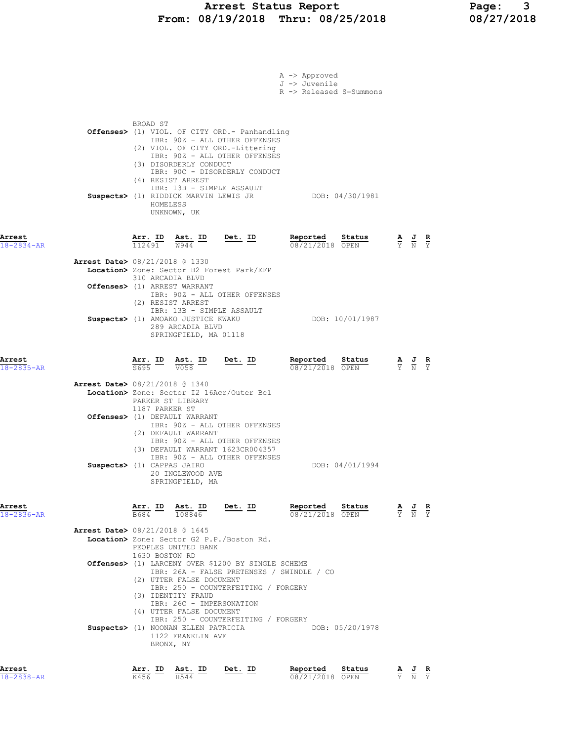## Arrest Status Report Page: 3 From: 08/19/2018 Thru: 08/25/2018 08/27/2018

|                            |                                                                          |                                           |                                                                                                                                                                                           |                                                                                                                                                                                                                                                             | A -> Approved<br>J -> Juvenile<br>R -> Released S=Summons |                 |                                                                                                 |               |
|----------------------------|--------------------------------------------------------------------------|-------------------------------------------|-------------------------------------------------------------------------------------------------------------------------------------------------------------------------------------------|-------------------------------------------------------------------------------------------------------------------------------------------------------------------------------------------------------------------------------------------------------------|-----------------------------------------------------------|-----------------|-------------------------------------------------------------------------------------------------|---------------|
|                            |                                                                          | BROAD ST<br>(4) RESIST ARREST<br>HOMELESS | (3) DISORDERLY CONDUCT<br>UNKNOWN, UK                                                                                                                                                     | Offenses> (1) VIOL. OF CITY ORD. - Panhandling<br>IBR: 90Z - ALL OTHER OFFENSES<br>(2) VIOL. OF CITY ORD.-Littering<br>IBR: 90Z - ALL OTHER OFFENSES<br>IBR: 90C - DISORDERLY CONDUCT<br>IBR: 13B - SIMPLE ASSAULT<br>Suspects> (1) RIDDICK MARVIN LEWIS JR | DOB: 04/30/1981                                           |                 |                                                                                                 |               |
| Arrest<br>18-2834-AR       |                                                                          |                                           | $\frac{\texttt{Arr. ID}}{112491}$ $\frac{\texttt{ Ast. ID}}{W944}$ $\frac{\texttt{Det. ID}}{W944}$                                                                                        |                                                                                                                                                                                                                                                             | Reported<br>08/21/2018 OPEN                               | Status          | $\frac{\mathbf{A}}{\mathbf{Y}}$ $\frac{\mathbf{J}}{\mathbf{N}}$ $\frac{\mathbf{R}}{\mathbf{Y}}$ |               |
|                            | <b>Arrest Date&gt; 08/21/2018 @ 1330</b><br>Offenses> (1) ARREST WARRANT | 310 ARCADIA BLVD<br>(2) RESIST ARREST     |                                                                                                                                                                                           | Location> Zone: Sector H2 Forest Park/EFP<br>IBR: 90Z - ALL OTHER OFFENSES                                                                                                                                                                                  |                                                           |                 |                                                                                                 |               |
|                            |                                                                          |                                           | IBR: 13B - SIMPLE ASSAULT<br>Suspects> (1) AMOAKO JUSTICE KWAKU<br>289 ARCADIA BLVD<br>SPRINGFIELD, MA 01118                                                                              |                                                                                                                                                                                                                                                             |                                                           | DOB: 10/01/1987 |                                                                                                 |               |
| Arrest<br>18-2835-AR       |                                                                          |                                           | $\frac{\texttt{Arr. ID}}{\texttt{S695}}$ $\frac{\texttt{ Ast. ID}}{\texttt{V058}}$                                                                                                        | $Det. ID$                                                                                                                                                                                                                                                   | Reported<br>08/21/2018 OPEN                               | Status          | $\frac{\mathbf{A}}{\mathbf{Y}}$ $\frac{\mathbf{J}}{\mathbf{N}}$ $\frac{\mathbf{R}}{\mathbf{Y}}$ |               |
|                            | <b>Arrest Date&gt; 08/21/2018 @ 1340</b>                                 | PARKER ST LIBRARY<br>1187 PARKER ST       | Offenses> (1) DEFAULT WARRANT<br>(2) DEFAULT WARRANT                                                                                                                                      | Location> Zone: Sector I2 16Acr/Outer Bel<br>IBR: 90Z - ALL OTHER OFFENSES<br>IBR: 90Z - ALL OTHER OFFENSES<br>(3) DEFAULT WARRANT 1623CR004357                                                                                                             |                                                           |                 |                                                                                                 |               |
|                            | Suspects> (1) CAPPAS JAIRO                                               |                                           | 20 INGLEWOOD AVE<br>SPRINGFIELD, MA                                                                                                                                                       | IBR: 90Z - ALL OTHER OFFENSES                                                                                                                                                                                                                               |                                                           | DOB: 04/01/1994 |                                                                                                 |               |
| Arrest<br>$18 - 2836 - AR$ |                                                                          | <u>Arr. ID</u><br>B684                    | Ast. ID<br>108846                                                                                                                                                                         | <u>Det. ID</u>                                                                                                                                                                                                                                              | Reported<br>08/21/2018 OPEN                               | Status          | $\frac{\mathbf{A}}{\mathbf{Y}}$ $\frac{\mathbf{J}}{\mathbf{N}}$                                 | $\frac{R}{Y}$ |
|                            | Arrest Date> 08/21/2018 @ 1645                                           | 1630 BOSTON RD                            | PEOPLES UNITED BANK<br>(2) UTTER FALSE DOCUMENT<br>(3) IDENTITY FRAUD<br>IBR: 26C - IMPERSONATION<br>(4) UTTER FALSE DOCUMENT<br>Suspects> (1) NOONAN ELLEN PATRICIA<br>1122 FRANKLIN AVE | Location> Zone: Sector G2 P.P./Boston Rd.<br>Offenses> (1) LARCENY OVER \$1200 BY SINGLE SCHEME<br>IBR: 250 - COUNTERFEITING / FORGERY<br>IBR: 250 - COUNTERFEITING / FORGERY                                                                               | IBR: 26A - FALSE PRETENSES / SWINDLE / CO                 | DOB: 05/20/1978 |                                                                                                 |               |
| Arrest<br>18-2838-AR       |                                                                          | BRONX, NY<br>Arr. ID<br>K456              | Ast. ID<br>H544                                                                                                                                                                           | Det. ID                                                                                                                                                                                                                                                     | Reported<br>08/21/2018 OPEN                               | Status          | $\frac{\mathbf{A}}{\mathbf{Y}}$ $\frac{\mathbf{J}}{\mathbf{N}}$ $\frac{\mathbf{R}}{\mathbf{Y}}$ |               |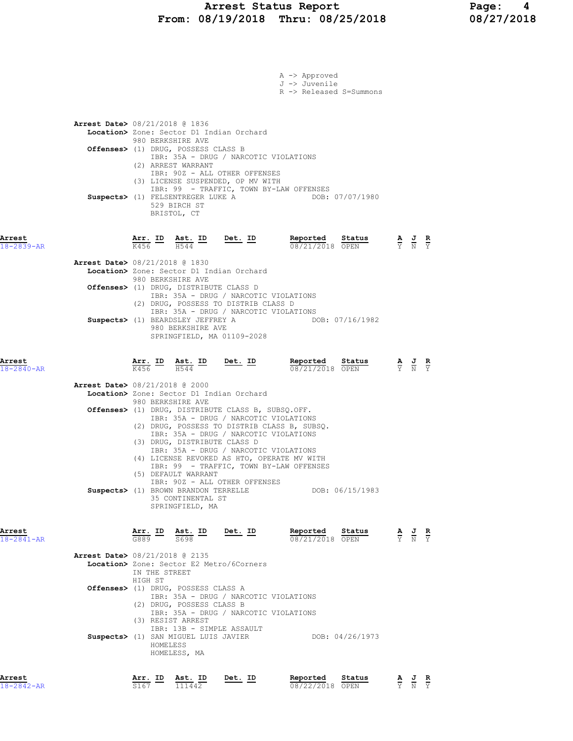## Arrest Status Report Page: 4 From: 08/19/2018 Thru: 08/25/2018 08/27/2018

|                                          |                                        |                                                                                        |                                                                                                                                                                        | A -> Approved<br>J -> Juvenile<br>R -> Released S=Summons                               |                 |                                                                                                 |  |
|------------------------------------------|----------------------------------------|----------------------------------------------------------------------------------------|------------------------------------------------------------------------------------------------------------------------------------------------------------------------|-----------------------------------------------------------------------------------------|-----------------|-------------------------------------------------------------------------------------------------|--|
| Arrest Date> 08/21/2018 @ 1836           |                                        | 980 BERKSHIRE AVE<br>Offenses> (1) DRUG, POSSESS CLASS B                               | Location> Zone: Sector D1 Indian Orchard<br>IBR: 35A - DRUG / NARCOTIC VIOLATIONS                                                                                      |                                                                                         |                 |                                                                                                 |  |
|                                          |                                        | (2) ARREST WARRANT<br>Suspects> (1) FELSENTREGER LUKE A<br>529 BIRCH ST<br>BRISTOL, CT | IBR: 90Z - ALL OTHER OFFENSES<br>(3) LICENSE SUSPENDED, OP MV WITH                                                                                                     | IBR: 99 - TRAFFIC, TOWN BY-LAW OFFENSES                                                 | DOB: 07/07/1980 |                                                                                                 |  |
| Arrest<br>18-2839-AR                     | Arr. ID<br>K456 G                      | Ast. ID<br>H544                                                                        | $Det. ID$                                                                                                                                                              | Reported Status<br>08/21/2018 OPEN                                                      |                 | $\frac{\mathbf{A}}{\mathbf{Y}}$ $\frac{\mathbf{J}}{\mathbf{N}}$ $\frac{\mathbf{R}}{\mathbf{Y}}$ |  |
| <b>Arrest Date&gt; 08/21/2018 @ 1830</b> |                                        |                                                                                        | Location> Zone: Sector D1 Indian Orchard                                                                                                                               |                                                                                         |                 |                                                                                                 |  |
|                                          |                                        | 980 BERKSHIRE AVE<br>Offenses> (1) DRUG, DISTRIBUTE CLASS D                            | IBR: 35A - DRUG / NARCOTIC VIOLATIONS<br>(2) DRUG, POSSESS TO DISTRIB CLASS D                                                                                          |                                                                                         |                 |                                                                                                 |  |
|                                          |                                        | Suspects> (1) BEARDSLEY JEFFREY A<br>980 BERKSHIRE AVE                                 | IBR: 35A - DRUG / NARCOTIC VIOLATIONS<br>SPRINGFIELD, MA 01109-2028                                                                                                    |                                                                                         | DOB: 07/16/1982 |                                                                                                 |  |
| Arrest<br>18-2840-AR                     | $\frac{\texttt{Arr.}}{\text{K456}}$ ID | $\frac{\text{Ast.}}{\text{H544}}$ ID                                                   | <u>Det. ID</u>                                                                                                                                                         | Reported<br>08/21/2018 OPEN                                                             | Status          | $\frac{\mathbf{A}}{\mathbf{Y}}$ $\frac{\mathbf{J}}{\mathbf{N}}$ $\frac{\mathbf{R}}{\mathbf{Y}}$ |  |
| <b>Arrest Date&gt;</b> 08/21/2018 @ 2000 |                                        |                                                                                        | Location> Zone: Sector D1 Indian Orchard                                                                                                                               |                                                                                         |                 |                                                                                                 |  |
|                                          |                                        | 980 BERKSHIRE AVE                                                                      | Offenses> (1) DRUG, DISTRIBUTE CLASS B, SUBSQ.OFF.                                                                                                                     |                                                                                         |                 |                                                                                                 |  |
|                                          |                                        | (3) DRUG, DISTRIBUTE CLASS D<br>(5) DEFAULT WARRANT                                    | IBR: 35A - DRUG / NARCOTIC VIOLATIONS<br>IBR: 35A - DRUG / NARCOTIC VIOLATIONS<br>IBR: 35A - DRUG / NARCOTIC VIOLATIONS<br>(4) LICENSE REVOKED AS HTO, OPERATE MV WITH | (2) DRUG, POSSESS TO DISTRIB CLASS B, SUBSQ.<br>IBR: 99 - TRAFFIC, TOWN BY-LAW OFFENSES |                 |                                                                                                 |  |
|                                          |                                        | Suspects> (1) BROWN BRANDON TERRELLE<br>35 CONTINENTAL ST<br>SPRINGFIELD, MA           | IBR: 90Z - ALL OTHER OFFENSES                                                                                                                                          |                                                                                         | DOB: 06/15/1983 |                                                                                                 |  |
| Arrest<br>18-2841-AR                     | Arr. ID<br>G889                        | <u>Ast. ID</u><br>S698                                                                 | Det. ID                                                                                                                                                                | Reported<br>08/21/2018 OPEN                                                             | Status          | $\frac{\mathbf{A}}{\mathbf{Y}}$ $\frac{\mathbf{J}}{\mathbf{N}}$ $\frac{\mathbf{R}}{\mathbf{Y}}$ |  |
| Arrest Date> 08/21/2018 @ 2135           | IN THE STREET<br>HIGH ST               |                                                                                        | Location> Zone: Sector E2 Metro/6Corners                                                                                                                               |                                                                                         |                 |                                                                                                 |  |
|                                          |                                        | Offenses> (1) DRUG, POSSESS CLASS A<br>(2) DRUG, POSSESS CLASS B                       | IBR: 35A - DRUG / NARCOTIC VIOLATIONS<br>IBR: 35A - DRUG / NARCOTIC VIOLATIONS                                                                                         |                                                                                         |                 |                                                                                                 |  |
|                                          | HOMELESS                               | (3) RESIST ARREST<br>Suspects> (1) SAN MIGUEL LUIS JAVIER<br>HOMELESS, MA              | IBR: 13B - SIMPLE ASSAULT                                                                                                                                              |                                                                                         | DOB: 04/26/1973 |                                                                                                 |  |
| Arrest                                   |                                        | Arr. ID Ast. ID Det. ID                                                                |                                                                                                                                                                        | Reported                                                                                | Status          | AJR                                                                                             |  |

18-2842-AR S167 111442 08/22/2018 OPEN Y N Y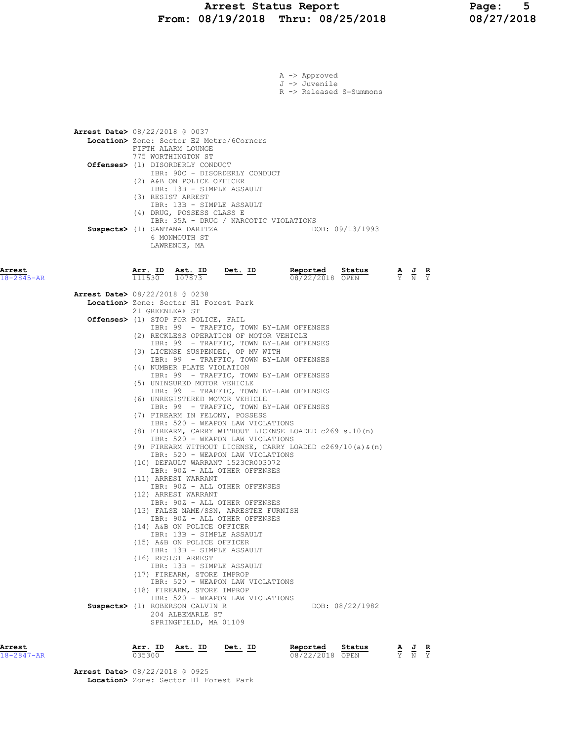|                            |                                          |                   |                                                                                                                     |                                                                                                 | A -> Approved<br>J -> Juvenile | R -> Released S=Summons |                                                                 |  |
|----------------------------|------------------------------------------|-------------------|---------------------------------------------------------------------------------------------------------------------|-------------------------------------------------------------------------------------------------|--------------------------------|-------------------------|-----------------------------------------------------------------|--|
|                            | <b>Arrest Date&gt; 08/22/2018 @ 0037</b> |                   | FIFTH ALARM LOUNGE<br>775 WORTHINGTON ST<br><b>Offenses&gt;</b> (1) DISORDERLY CONDUCT<br>(2) A&B ON POLICE OFFICER | Location> Zone: Sector E2 Metro/6Corners<br>IBR: 90C - DISORDERLY CONDUCT                       |                                |                         |                                                                 |  |
|                            |                                          | (3) RESIST ARREST | (4) DRUG, POSSESS CLASS E<br>Suspects> (1) SANTANA DARITZA<br>6 MONMOUTH ST<br>LAWRENCE, MA                         | IBR: 13B - SIMPLE ASSAULT<br>IBR: 13B - SIMPLE ASSAULT<br>IBR: 35A - DRUG / NARCOTIC VIOLATIONS |                                | DOB: 09/13/1993         |                                                                 |  |
| Arrest<br>$18 - 2845 - AR$ |                                          | Arr. ID<br>111530 | Ast. ID<br>107873                                                                                                   | <u>Det. ID</u>                                                                                  | Reported<br>08/22/2018 OPEN    | Status                  | $\frac{\mathbf{A}}{\mathbf{Y}}$ $\frac{\mathbf{J}}{\mathbf{N}}$ |  |
|                            | Arrest Date> 08/22/2018 @ 0238           |                   |                                                                                                                     |                                                                                                 |                                |                         |                                                                 |  |
|                            |                                          | 21 GREENLEAF ST   | Location> Zone: Sector H1 Forest Park                                                                               |                                                                                                 |                                |                         |                                                                 |  |
|                            |                                          |                   | Offenses> (1) STOP FOR POLICE, FAIL                                                                                 |                                                                                                 |                                |                         |                                                                 |  |
|                            |                                          |                   |                                                                                                                     | IBR: 99 - TRAFFIC, TOWN BY-LAW OFFENSES<br>(2) RECKLESS OPERATION OF MOTOR VEHICLE              |                                |                         |                                                                 |  |
|                            |                                          |                   |                                                                                                                     | IBR: 99 - TRAFFIC, TOWN BY-LAW OFFENSES                                                         |                                |                         |                                                                 |  |
|                            |                                          |                   |                                                                                                                     | (3) LICENSE SUSPENDED, OP MV WITH<br>IBR: 99 - TRAFFIC, TOWN BY-LAW OFFENSES                    |                                |                         |                                                                 |  |
|                            |                                          |                   | (4) NUMBER PLATE VIOLATION                                                                                          |                                                                                                 |                                |                         |                                                                 |  |
|                            |                                          |                   | (5) UNINSURED MOTOR VEHICLE                                                                                         | IBR: 99 - TRAFFIC, TOWN BY-LAW OFFENSES                                                         |                                |                         |                                                                 |  |
|                            |                                          |                   |                                                                                                                     | IBR: 99 - TRAFFIC, TOWN BY-LAW OFFENSES                                                         |                                |                         |                                                                 |  |
|                            |                                          |                   |                                                                                                                     | (6) UNREGISTERED MOTOR VEHICLE<br>IBR: 99 - TRAFFIC, TOWN BY-LAW OFFENSES                       |                                |                         |                                                                 |  |
|                            |                                          |                   |                                                                                                                     | (7) FIREARM IN FELONY, POSSESS                                                                  |                                |                         |                                                                 |  |
|                            |                                          |                   |                                                                                                                     | IBR: 520 - WEAPON LAW VIOLATIONS<br>(8) FIREARM, CARRY WITHOUT LICENSE LOADED c269 s.10(n)      |                                |                         |                                                                 |  |
|                            |                                          |                   |                                                                                                                     | IBR: 520 - WEAPON LAW VIOLATIONS                                                                |                                |                         |                                                                 |  |
|                            |                                          |                   |                                                                                                                     | (9) FIREARM WITHOUT LICENSE, CARRY LOADED c269/10(a) & (n)<br>IBR: 520 - WEAPON LAW VIOLATIONS  |                                |                         |                                                                 |  |
|                            |                                          |                   |                                                                                                                     | (10) DEFAULT WARRANT 1523CR003072                                                               |                                |                         |                                                                 |  |
|                            |                                          |                   | (11) ARREST WARRANT                                                                                                 | IBR: 90Z - ALL OTHER OFFENSES                                                                   |                                |                         |                                                                 |  |
|                            |                                          |                   |                                                                                                                     | IBR: 90Z - ALL OTHER OFFENSES                                                                   |                                |                         |                                                                 |  |
|                            |                                          |                   | (12) ARREST WARRANT                                                                                                 | IBR: 90Z - ALL OTHER OFFENSES                                                                   |                                |                         |                                                                 |  |
|                            |                                          |                   |                                                                                                                     | (13) FALSE NAME/SSN, ARRESTEE FURNISH<br>IBR: 90Z - ALL OTHER OFFENSES                          |                                |                         |                                                                 |  |
|                            |                                          |                   | (14) A&B ON POLICE OFFICER                                                                                          |                                                                                                 |                                |                         |                                                                 |  |
|                            |                                          |                   | (15) A&B ON POLICE OFFICER                                                                                          | IBR: 13B - SIMPLE ASSAULT                                                                       |                                |                         |                                                                 |  |
|                            |                                          |                   |                                                                                                                     | IBR: 13B - SIMPLE ASSAULT                                                                       |                                |                         |                                                                 |  |
|                            |                                          |                   | (16) RESIST ARREST                                                                                                  | IBR: 13B - SIMPLE ASSAULT                                                                       |                                |                         |                                                                 |  |
|                            |                                          |                   | (17) FIREARM, STORE IMPROP                                                                                          |                                                                                                 |                                |                         |                                                                 |  |
|                            |                                          |                   | (18) FIREARM, STORE IMPROP                                                                                          | IBR: 520 - WEAPON LAW VIOLATIONS                                                                |                                |                         |                                                                 |  |
|                            |                                          |                   |                                                                                                                     | IBR: 520 - WEAPON LAW VIOLATIONS                                                                |                                |                         |                                                                 |  |
|                            |                                          |                   | Suspects> (1) ROBERSON CALVIN R<br>204 ALBEMARLE ST                                                                 |                                                                                                 |                                | DOB: 08/22/1982         |                                                                 |  |
|                            |                                          |                   | SPRINGFIELD, MA 01109                                                                                               |                                                                                                 |                                |                         |                                                                 |  |
|                            |                                          |                   |                                                                                                                     |                                                                                                 |                                |                         |                                                                 |  |

| Arrest           | Arr. ID | Ast. ID | Det. ID | Reported        | Status | AJR   | __ |
|------------------|---------|---------|---------|-----------------|--------|-------|----|
| $18 - 2847 - AR$ | 035300  |         |         | 08/22/2018 OPEN |        | Y N Y |    |

 Arrest Date> 08/22/2018 @ 0925 Location> Zone: Sector H1 Forest Park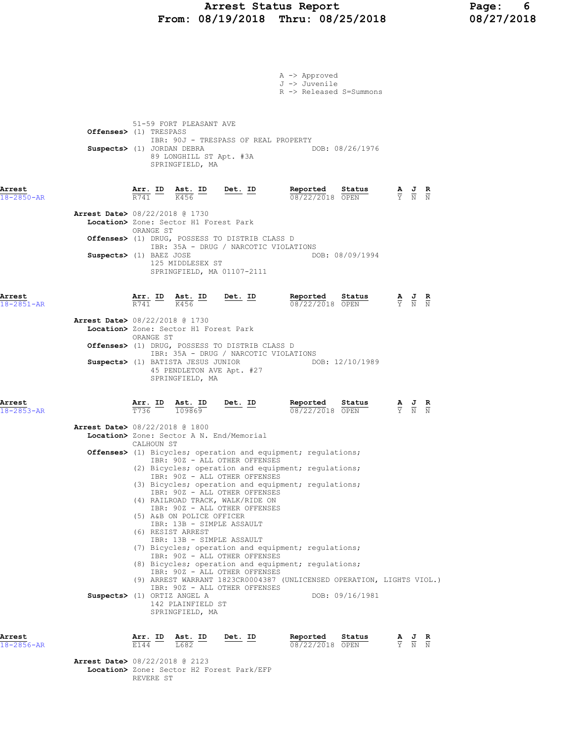## Arrest Status Report Page: 6 From: 08/19/2018 Thru: 08/25/2018 08/27/2018

|                                          |                                                      |                                                                                        |                                                                                                                                                                                                                                                                                                                                   | A -> Approved<br>J -> Juvenile<br>R -> Released S=Summons                                                                                                                                                                                                                                                                                                                                       |                                                                                                 |                                                                                                 |  |
|------------------------------------------|------------------------------------------------------|----------------------------------------------------------------------------------------|-----------------------------------------------------------------------------------------------------------------------------------------------------------------------------------------------------------------------------------------------------------------------------------------------------------------------------------|-------------------------------------------------------------------------------------------------------------------------------------------------------------------------------------------------------------------------------------------------------------------------------------------------------------------------------------------------------------------------------------------------|-------------------------------------------------------------------------------------------------|-------------------------------------------------------------------------------------------------|--|
|                                          | Offenses> (1) TRESPASS<br>Suspects> (1) JORDAN DEBRA | 51-59 FORT PLEASANT AVE<br>SPRINGFIELD, MA                                             | IBR: 90J - TRESPASS OF REAL PROPERTY<br>89 LONGHILL ST Apt. #3A                                                                                                                                                                                                                                                                   | DOB: 08/26/1976                                                                                                                                                                                                                                                                                                                                                                                 |                                                                                                 |                                                                                                 |  |
| Arrest<br>18-2850-AR                     |                                                      | $\frac{\texttt{Arr.}}{\text{R741}}$ ID $\frac{\texttt{ Ast.}}{\text{R456}}$ ID<br>K456 | <u>Det.</u> ID                                                                                                                                                                                                                                                                                                                    | Reported<br>Status<br>08/22/2018 OPEN                                                                                                                                                                                                                                                                                                                                                           |                                                                                                 | $\frac{\mathbf{A}}{\mathbf{Y}}$ $\frac{\mathbf{J}}{\mathbf{N}}$ $\frac{\mathbf{R}}{\mathbf{N}}$ |  |
| Arrest Date> 08/22/2018 @ 1730           | ORANGE ST                                            | Location> Zone: Sector H1 Forest Park                                                  |                                                                                                                                                                                                                                                                                                                                   |                                                                                                                                                                                                                                                                                                                                                                                                 |                                                                                                 |                                                                                                 |  |
|                                          | Suspects> (1) BAEZ JOSE                              | 125 MIDDLESEX ST                                                                       | Offenses> (1) DRUG, POSSESS TO DISTRIB CLASS D<br>IBR: 35A - DRUG / NARCOTIC VIOLATIONS<br>SPRINGFIELD, MA 01107-2111                                                                                                                                                                                                             | DOB: 08/09/1994                                                                                                                                                                                                                                                                                                                                                                                 |                                                                                                 |                                                                                                 |  |
| Arrest<br>$18 - 2851 - AR$               | $\frac{\texttt{Arr.}}{\texttt{R741}}$ ID             | <u>Ast. ID</u><br>K456                                                                 | <u>Det. ID</u>                                                                                                                                                                                                                                                                                                                    | Reported Status $\frac{0.8722}{0.08722}{0.00000}$                                                                                                                                                                                                                                                                                                                                               | $\frac{\mathbf{A}}{\mathbf{Y}}$ $\frac{\mathbf{J}}{\mathbf{N}}$ $\frac{\mathbf{R}}{\mathbf{N}}$ |                                                                                                 |  |
| Arrest Date> 08/22/2018 @ 1730           | ORANGE ST                                            | Location> Zone: Sector H1 Forest Park                                                  |                                                                                                                                                                                                                                                                                                                                   |                                                                                                                                                                                                                                                                                                                                                                                                 |                                                                                                 |                                                                                                 |  |
|                                          |                                                      |                                                                                        | Offenses> (1) DRUG, POSSESS TO DISTRIB CLASS D<br>IBR: 35A - DRUG / NARCOTIC VIOLATIONS                                                                                                                                                                                                                                           |                                                                                                                                                                                                                                                                                                                                                                                                 |                                                                                                 |                                                                                                 |  |
|                                          |                                                      | Suspects> (1) BATISTA JESUS JUNIOR<br>SPRINGFIELD, MA                                  | 45 PENDLETON AVE Apt. #27                                                                                                                                                                                                                                                                                                         | DOB: 12/10/1989                                                                                                                                                                                                                                                                                                                                                                                 |                                                                                                 |                                                                                                 |  |
| Arrest<br>$18 - 2853 - AR$               | $\frac{\texttt{Arr.}}{\texttt{T736}}$ ID             | <u>Ast. ID</u><br>109869                                                               | $Det. ID$                                                                                                                                                                                                                                                                                                                         | <u>Reported</u><br>Status<br>08/22/2018 OPEN                                                                                                                                                                                                                                                                                                                                                    |                                                                                                 | $\frac{\mathbf{A}}{\mathbf{Y}}$ $\frac{\mathbf{J}}{\mathbf{N}}$ $\frac{\mathbf{R}}{\mathbf{N}}$ |  |
| <b>Arrest Date&gt; 08/22/2018 @ 1800</b> | CALHOUN ST                                           |                                                                                        | Location> Zone: Sector A N. End/Memorial                                                                                                                                                                                                                                                                                          |                                                                                                                                                                                                                                                                                                                                                                                                 |                                                                                                 |                                                                                                 |  |
|                                          | Suspects> (1) ORTIZ ANGEL A                          | (5) A&B ON POLICE OFFICER<br>(6) RESIST ARREST<br>142 PLAINFIELD ST<br>SPRINGFIELD, MA | IBR: 90Z - ALL OTHER OFFENSES<br>IBR: 90Z - ALL OTHER OFFENSES<br>IBR: 90Z - ALL OTHER OFFENSES<br>(4) RAILROAD TRACK, WALK/RIDE ON<br>IBR: 90Z - ALL OTHER OFFENSES<br>IBR: 13B - SIMPLE ASSAULT<br>IBR: 13B - SIMPLE ASSAULT<br>IBR: 90Z - ALL OTHER OFFENSES<br>IBR: 90Z - ALL OTHER OFFENSES<br>IBR: 90Z - ALL OTHER OFFENSES | <b>Offenses&gt;</b> (1) Bicycles; operation and equipment; regulations;<br>(2) Bicycles; operation and equipment; regulations;<br>(3) Bicycles; operation and equipment; regulations;<br>(7) Bicycles; operation and equipment; regulations;<br>(8) Bicycles; operation and equipment; regulations;<br>(9) ARREST WARRANT 1823CR0004387 (UNLICENSED OPERATION, LIGHTS VIOL.)<br>DOB: 09/16/1981 |                                                                                                 |                                                                                                 |  |
| Arrest<br>18-2856-AR                     | $\frac{\text{Arr.}}{\text{E144}}$ ID                 | $\frac{\text{Ast.}}{\text{L682}}$ ID                                                   | Det. ID                                                                                                                                                                                                                                                                                                                           | Reported<br>Status<br>08/22/2018 OPEN                                                                                                                                                                                                                                                                                                                                                           |                                                                                                 | $\frac{\mathbf{A}}{\mathbf{Y}}$ $\frac{\mathbf{J}}{\mathbf{N}}$ $\frac{\mathbf{R}}{\mathbf{N}}$ |  |
| <b>Arrest Date&gt; 08/22/2018 @ 2123</b> | REVERE ST                                            |                                                                                        | Location> Zone: Sector H2 Forest Park/EFP                                                                                                                                                                                                                                                                                         |                                                                                                                                                                                                                                                                                                                                                                                                 |                                                                                                 |                                                                                                 |  |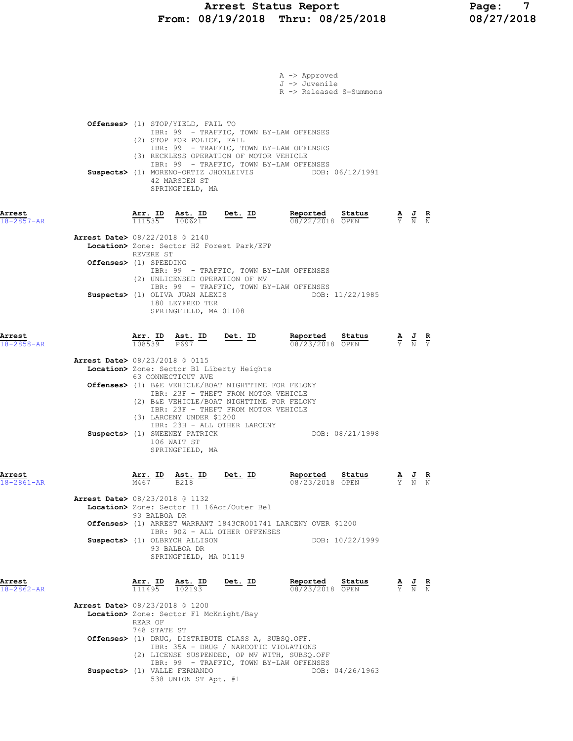|                            |                                                                                                                                                                                                                                                                                                               | A -> Approved<br>J -> Juvenile<br>R -> Released S=Summons |                                                                                                 |
|----------------------------|---------------------------------------------------------------------------------------------------------------------------------------------------------------------------------------------------------------------------------------------------------------------------------------------------------------|-----------------------------------------------------------|-------------------------------------------------------------------------------------------------|
|                            | <b>Offenses&gt;</b> (1) STOP/YIELD, FAIL TO<br>IBR: 99 - TRAFFIC, TOWN BY-LAW OFFENSES<br>(2) STOP FOR POLICE, FAIL<br>IBR: 99 - TRAFFIC, TOWN BY-LAW OFFENSES<br>(3) RECKLESS OPERATION OF MOTOR VEHICLE<br>IBR: 99 - TRAFFIC, TOWN BY-LAW OFFENSES<br>42 MARSDEN ST<br>SPRINGFIELD, MA                      | Suspects> (1) MORENO-ORTIZ JHONLEIVIS DOB: 06/12/1991     |                                                                                                 |
| Arrest<br>$18 - 2857 - AR$ | <b><u>Arr. ID</u> Ast. ID Det. ID</b><br>$\frac{111535}{100621}$ <b>Det. ID</b>                                                                                                                                                                                                                               | Reported Status<br>08/22/2018 OPEN                        | $\frac{\mathbf{A}}{\mathbf{Y}}$ $\frac{\mathbf{J}}{\mathbf{N}}$ $\frac{\mathbf{R}}{\mathbf{N}}$ |
|                            | <b>Arrest Date&gt; 08/22/2018 @ 2140</b><br>Location> Zone: Sector H2 Forest Park/EFP<br>REVERE ST                                                                                                                                                                                                            |                                                           |                                                                                                 |
|                            | Offenses> (1) SPEEDING<br>IBR: 99 - TRAFFIC, TOWN BY-LAW OFFENSES<br>(2) UNLICENSED OPERATION OF MV<br>IBR: 99 - TRAFFIC, TOWN BY-LAW OFFENSES                                                                                                                                                                |                                                           |                                                                                                 |
|                            | Suspects> (1) OLIVA JUAN ALEXIS<br>180 LEYFRED TER<br>SPRINGFIELD, MA 01108                                                                                                                                                                                                                                   | DOB: 11/22/1985                                           |                                                                                                 |
| Arrest<br>$18 - 2858 - AR$ | $\frac{\texttt{Arr. ID}}{108539}$ $\frac{\texttt{ Ast. ID}}{P697}$ $\frac{\texttt{Det. ID}}{P697}$                                                                                                                                                                                                            | Reported Status<br>08/23/2018 OPEN                        | $\frac{\mathbf{A}}{\mathbf{Y}}$ $\frac{\mathbf{J}}{\mathbf{N}}$ $\frac{\mathbf{R}}{\mathbf{Y}}$ |
|                            | Arrest Date> 08/23/2018 @ 0115<br>Location> Zone: Sector B1 Liberty Heights<br>63 CONNECTICUT AVE                                                                                                                                                                                                             |                                                           |                                                                                                 |
|                            | Offenses> (1) B&E VEHICLE/BOAT NIGHTTIME FOR FELONY<br>IBR: 23F - THEFT FROM MOTOR VEHICLE<br>(2) B&E VEHICLE/BOAT NIGHTTIME FOR FELONY<br>IBR: 23F - THEFT FROM MOTOR VEHICLE<br>(3) LARCENY UNDER \$1200<br>IBR: 23H - ALL OTHER LARCENY<br>Suspects> (1) SWEENEY PATRICK<br>106 WAIT ST<br>SPRINGFIELD, MA | DOB: 08/21/1998                                           |                                                                                                 |
| Arrest<br>18-2861-AR       | Arr. ID<br>Det. ID<br>Ast. ID<br>M467<br><b>B218</b>                                                                                                                                                                                                                                                          | Reported<br>Status<br>08/23/2018 OPEN                     | $\frac{\mathbf{A}}{\mathbf{Y}}$ $\frac{\mathbf{J}}{\mathbf{N}}$<br>$\frac{\mathbf{R}}{N}$       |
|                            | <b>Arrest Date&gt; 08/23/2018 @ 1132</b><br>Location> Zone: Sector I1 16Acr/Outer Bel<br>93 BALBOA DR                                                                                                                                                                                                         |                                                           |                                                                                                 |
|                            | Offenses> (1) ARREST WARRANT 1843CR001741 LARCENY OVER \$1200<br>IBR: 90Z - ALL OTHER OFFENSES<br>Suspects> (1) OLBRYCH ALLISON                                                                                                                                                                               | DOB: 10/22/1999                                           |                                                                                                 |
|                            | 93 BALBOA DR<br>SPRINGFIELD, MA 01119                                                                                                                                                                                                                                                                         |                                                           |                                                                                                 |
| Arrest<br>$18 - 2862 - AR$ | Arr. ID<br>Ast. ID<br>Det. ID<br>111495<br>$\overline{102193}$                                                                                                                                                                                                                                                | Reported<br>Status<br>08/23/2018 OPEN                     | $\frac{\mathbf{A}}{\mathbf{Y}}$ $\frac{\mathbf{J}}{\mathbf{N}}$ $\frac{\mathbf{R}}{\mathbf{N}}$ |
|                            | <b>Arrest Date&gt;</b> 08/23/2018 @ 1200<br>Location> Zone: Sector F1 McKnight/Bay<br>REAR OF                                                                                                                                                                                                                 |                                                           |                                                                                                 |
|                            | 748 STATE ST<br>Offenses> (1) DRUG, DISTRIBUTE CLASS A, SUBSQ.OFF.<br>IBR: 35A - DRUG / NARCOTIC VIOLATIONS<br>(2) LICENSE SUSPENDED, OP MV WITH, SUBSQ.OFF<br>IBR: 99 - TRAFFIC, TOWN BY-LAW OFFENSES                                                                                                        |                                                           |                                                                                                 |
|                            | Suspects> (1) VALLE FERNANDO<br>538 UNION ST Apt. #1                                                                                                                                                                                                                                                          | DOB: 04/26/1963                                           |                                                                                                 |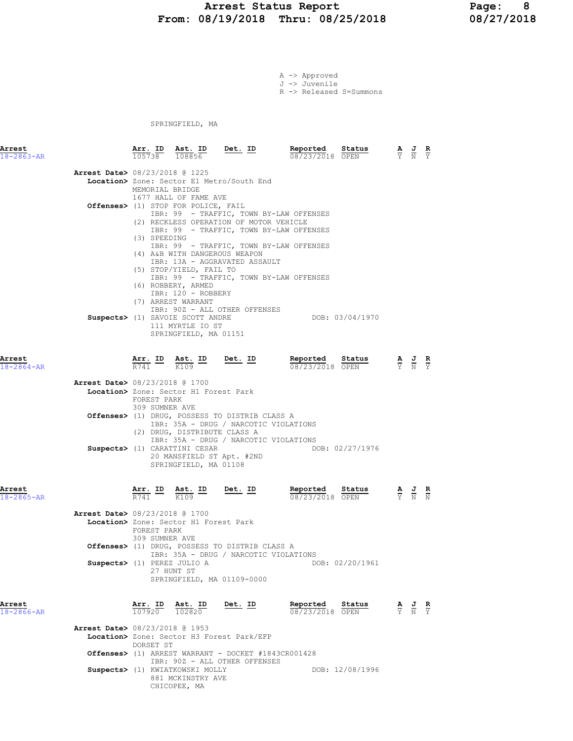#### Arrest Status Report 1992 - Page: 8<br>18/19/2018 Thru: 08/25/2018 - 208/27/2018 From: 08/19/2018 Thru: 08/25/2018

A -> Approved J -> Juvenile R -> Released S=Summons

SPRINGFIELD, MA

| Arrest<br>$18 - 2863 - AR$ |                                          | Arr. ID                                                    | Ast. ID<br>$\overline{105738}$ $\overline{108856}$                                                   | $Det. ID$                                                                                                                        | Reported<br>08/23/2018 OPEN                                                        | Status          | $\frac{\mathbf{A}}{\mathbf{Y}}$ $\frac{\mathbf{J}}{\mathbf{N}}$                                 | R<br>$\overline{\mathsf{Y}}$ |
|----------------------------|------------------------------------------|------------------------------------------------------------|------------------------------------------------------------------------------------------------------|----------------------------------------------------------------------------------------------------------------------------------|------------------------------------------------------------------------------------|-----------------|-------------------------------------------------------------------------------------------------|------------------------------|
|                            | <b>Arrest Date&gt;</b> 08/23/2018 @ 1225 | MEMORIAL BRIDGE                                            | 1677 HALL OF FAME AVE                                                                                | Location> Zone: Sector E1 Metro/South End                                                                                        |                                                                                    |                 |                                                                                                 |                              |
|                            |                                          | (3) SPEEDING                                               | Offenses> (1) STOP FOR POLICE, FAIL                                                                  | (2) RECKLESS OPERATION OF MOTOR VEHICLE                                                                                          | IBR: 99 - TRAFFIC, TOWN BY-LAW OFFENSES<br>IBR: 99 - TRAFFIC, TOWN BY-LAW OFFENSES |                 |                                                                                                 |                              |
|                            |                                          |                                                            | (4) A&B WITH DANGEROUS WEAPON<br>(5) STOP/YIELD, FAIL TO<br>(6) ROBBERY, ARMED<br>IBR: 120 - ROBBERY | IBR: 13A - AGGRAVATED ASSAULT                                                                                                    | IBR: 99 - TRAFFIC, TOWN BY-LAW OFFENSES<br>IBR: 99 - TRAFFIC, TOWN BY-LAW OFFENSES |                 |                                                                                                 |                              |
|                            |                                          |                                                            | (7) ARREST WARRANT<br>Suspects> (1) SAVOIE SCOTT ANDRE<br>111 MYRTLE IO ST<br>SPRINGFIELD, MA 01151  | IBR: 90Z - ALL OTHER OFFENSES                                                                                                    |                                                                                    | DOB: 03/04/1970 |                                                                                                 |                              |
| Arrest<br>$18 - 2864 - AR$ |                                          |                                                            | $\frac{\texttt{Arr.}}{\text{R741}}$ ID $\frac{\texttt{ Ast.}}{\text{K109}}$ ID Det. ID<br>K109       |                                                                                                                                  | Reported<br>08/23/2018 OPEN                                                        | Status          | $\frac{\mathbf{A}}{\mathbf{Y}}$ $\frac{\mathbf{J}}{\mathbf{N}}$                                 |                              |
|                            | Arrest Date> 08/23/2018 @ 1700           | FOREST PARK<br>309 SUMNER AVE                              | Location> Zone: Sector H1 Forest Park                                                                |                                                                                                                                  |                                                                                    |                 |                                                                                                 |                              |
|                            |                                          |                                                            | (2) DRUG, DISTRIBUTE CLASS A                                                                         | Offenses> (1) DRUG, POSSESS TO DISTRIB CLASS A<br>IBR: 35A - DRUG / NARCOTIC VIOLATIONS<br>IBR: 35A - DRUG / NARCOTIC VIOLATIONS |                                                                                    |                 |                                                                                                 |                              |
|                            |                                          |                                                            | Suspects> (1) CARATTINI CESAR<br>20 MANSFIELD ST Apt. #2ND<br>SPRINGFIELD, MA 01108                  |                                                                                                                                  |                                                                                    | DOB: 02/27/1976 |                                                                                                 |                              |
| Arrest<br>18-2865-AR       |                                          | $\frac{\texttt{Arr.}}{\texttt{R741}}$ ID                   | $\frac{\text{Ast.}}{\text{K109}}$ ID                                                                 | <u>Det. ID</u>                                                                                                                   | Reported<br>08/23/2018 OPEN                                                        | Status          | $\frac{\mathbf{A}}{\mathbf{Y}}$ $\frac{\mathbf{J}}{\mathbf{N}}$                                 |                              |
|                            | Arrest Date> 08/23/2018 @ 1700           | FOREST PARK<br>309 SUMNER AVE                              | Location> Zone: Sector H1 Forest Park                                                                | Offenses> (1) DRUG, POSSESS TO DISTRIB CLASS A                                                                                   |                                                                                    |                 |                                                                                                 |                              |
|                            | Suspects> (1) PEREZ JULIO A              |                                                            | 27 HUNT ST<br>SPRINGFIELD, MA 01109-0000                                                             | IBR: 35A - DRUG / NARCOTIC VIOLATIONS                                                                                            |                                                                                    | DOB: 02/20/1961 |                                                                                                 |                              |
| Arrest<br>$18 - 2866 - AR$ |                                          | $\frac{\text{Arr.}}{107920}$ $\frac{\text{ Ast.}}{102820}$ |                                                                                                      | Det. ID                                                                                                                          | Reported<br>08/23/2018 OPEN                                                        | Status          | $\frac{\mathbf{A}}{\mathbf{Y}}$ $\frac{\mathbf{J}}{\mathbf{N}}$ $\frac{\mathbf{R}}{\mathbf{Y}}$ |                              |
|                            | Arrest Date> 08/23/2018 @ 1953           | DORSET ST                                                  |                                                                                                      | Location> Zone: Sector H3 Forest Park/EFP<br><b>Offenses&gt;</b> (1) ARREST WARRANT - DOCKET #1843CR001428                       |                                                                                    |                 |                                                                                                 |                              |
|                            |                                          |                                                            | Suspects> (1) KWIATKOWSKI MOLLY<br>881 MCKINSTRY AVE                                                 | IBR: 90Z - ALL OTHER OFFENSES                                                                                                    |                                                                                    | DOB: 12/08/1996 |                                                                                                 |                              |

CHICOPEE, MA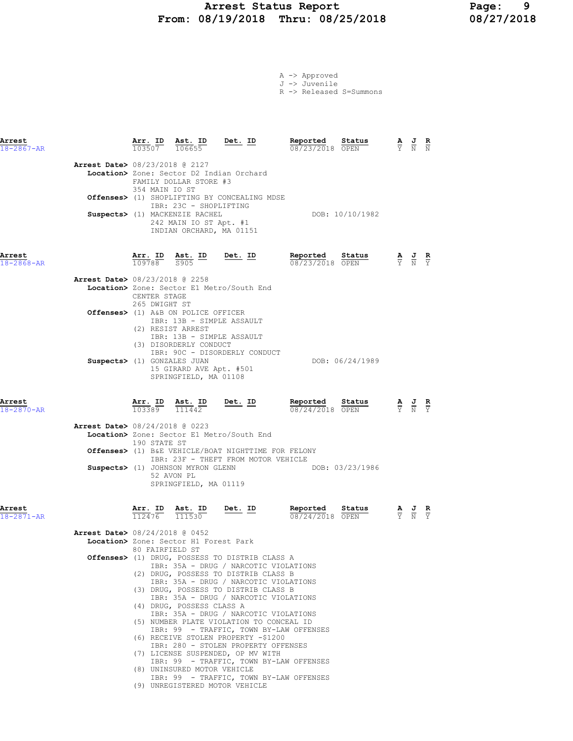# Arrest Status Report 1818 Page: 9<br>18/19/2018 Thru: 08/25/2018 18/27/2018 From: 08/19/2018 Thru: 08/25/2018

|  | A -> Approved |
|--|---------------|
|  | J -> Juvenile |

R -> Released S=Summons

| Arrest<br>$18 - 2867 - AR$ |                                          |                               | $\frac{\text{Arr. ID}}{1025.07}$ $\frac{\text{Ast. ID}}{10665}$ $\frac{\text{ID}}{5}$ $\frac{\text{Det. ID}}{1005.07}$<br>103507 106655      |                                                                                                                                                                          | Reported<br>08/23/2018 OPEN                                                        | Status          | $\frac{A}{Y}$ $\frac{J}{N}$ $\frac{R}{N}$ |                                                                                                 |  |
|----------------------------|------------------------------------------|-------------------------------|----------------------------------------------------------------------------------------------------------------------------------------------|--------------------------------------------------------------------------------------------------------------------------------------------------------------------------|------------------------------------------------------------------------------------|-----------------|-------------------------------------------|-------------------------------------------------------------------------------------------------|--|
|                            | <b>Arrest Date&gt; 08/23/2018 @ 2127</b> | 354 MAIN IO ST                | FAMILY DOLLAR STORE #3                                                                                                                       | Location> Zone: Sector D2 Indian Orchard                                                                                                                                 |                                                                                    |                 |                                           |                                                                                                 |  |
|                            |                                          |                               | IBR: 23C - SHOPLIFTING                                                                                                                       | Offenses> (1) SHOPLIFTING BY CONCEALING MDSE                                                                                                                             |                                                                                    |                 |                                           |                                                                                                 |  |
|                            |                                          |                               | Suspects> (1) MACKENZIE RACHEL<br>242 MAIN IO ST Apt. #1<br>INDIAN ORCHARD, MA 01151                                                         |                                                                                                                                                                          |                                                                                    | DOB: 10/10/1982 |                                           |                                                                                                 |  |
| Arrest<br>18-2868-AR       |                                          |                               |                                                                                                                                              |                                                                                                                                                                          | <b>Arr. ID</b> Ast. ID Det. ID Reported Status A J R<br>109788 5905 2005           |                 |                                           |                                                                                                 |  |
|                            | <b>Arrest Date&gt; 08/23/2018 @ 2258</b> | CENTER STAGE<br>265 DWIGHT ST |                                                                                                                                              | Location> Zone: Sector E1 Metro/South End                                                                                                                                |                                                                                    |                 |                                           |                                                                                                 |  |
|                            |                                          |                               | Offenses> (1) A&B ON POLICE OFFICER<br>IBR: 13B - SIMPLE ASSAULT<br>(2) RESIST ARREST<br>IBR: 13B - SIMPLE ASSAULT<br>(3) DISORDERLY CONDUCT |                                                                                                                                                                          |                                                                                    |                 |                                           |                                                                                                 |  |
|                            | Suspects> (1) GONZALES JUAN              |                               | 15 GIRARD AVE Apt. #501<br>SPRINGFIELD, MA 01108                                                                                             | IBR: 90C - DISORDERLY CONDUCT                                                                                                                                            |                                                                                    | DOB: 06/24/1989 |                                           |                                                                                                 |  |
| Arrest<br>$18 - 2870 - AR$ |                                          |                               |                                                                                                                                              | $\frac{\texttt{Arr. ID}}{103389}$ $\frac{\texttt{ Ast. ID}}{111442}$ Det. ID                                                                                             | Reported<br>08/24/2018 OPEN                                                        | Status          |                                           | $\frac{\mathbf{A}}{\mathbf{Y}}$ $\frac{\mathbf{J}}{\mathbf{N}}$ $\frac{\mathbf{R}}{\mathbf{Y}}$ |  |
|                            | <b>Arrest Date&gt; 08/24/2018 @ 0223</b> | 190 STATE ST                  |                                                                                                                                              | Location> Zone: Sector E1 Metro/South End                                                                                                                                |                                                                                    |                 |                                           |                                                                                                 |  |
|                            |                                          |                               |                                                                                                                                              | <b>Offenses&gt;</b> (1) B&E VEHICLE/BOAT NIGHTTIME FOR FELONY<br>IBR: 23F - THEFT FROM MOTOR VEHICLE                                                                     |                                                                                    |                 |                                           |                                                                                                 |  |
|                            |                                          |                               | Suspects> (1) JOHNSON MYRON GLENN<br>52 AVON PL<br>SPRINGFIELD, MA 01119                                                                     |                                                                                                                                                                          |                                                                                    | DOB: 03/23/1986 |                                           |                                                                                                 |  |
| Arrest<br>$18 - 2871 - AR$ |                                          |                               | $\frac{\texttt{Arr.}}{112476}$ $\frac{\texttt{Ab.}}{111530}$                                                                                 | <u>Det. ID</u>                                                                                                                                                           | Reported Status<br>08/24/2018 OPEN                                                 |                 |                                           | $\frac{\mathbf{A}}{\mathbf{Y}}$ $\frac{\mathbf{J}}{\mathbf{N}}$ $\frac{\mathbf{R}}{\mathbf{Y}}$ |  |
|                            | <b>Arrest Date&gt; 08/24/2018 @ 0452</b> | 80 FAIRFIELD ST               | Location> Zone: Sector H1 Forest Park                                                                                                        |                                                                                                                                                                          |                                                                                    |                 |                                           |                                                                                                 |  |
|                            |                                          |                               |                                                                                                                                              | Offenses> (1) DRUG, POSSESS TO DISTRIB CLASS A<br>IBR: 35A - DRUG / NARCOTIC VIOLATIONS<br>(2) DRUG, POSSESS TO DISTRIB CLASS B<br>IBR: 35A - DRUG / NARCOTIC VIOLATIONS |                                                                                    |                 |                                           |                                                                                                 |  |
|                            |                                          |                               | (4) DRUG, POSSESS CLASS A                                                                                                                    | (3) DRUG, POSSESS TO DISTRIB CLASS B<br>IBR: 35A - DRUG / NARCOTIC VIOLATIONS<br>IBR: 35A - DRUG / NARCOTIC VIOLATIONS                                                   |                                                                                    |                 |                                           |                                                                                                 |  |
|                            |                                          |                               |                                                                                                                                              | (5) NUMBER PLATE VIOLATION TO CONCEAL ID<br>(6) RECEIVE STOLEN PROPERTY -\$1200<br>IBR: 280 - STOLEN PROPERTY OFFENSES                                                   | IBR: 99 - TRAFFIC, TOWN BY-LAW OFFENSES                                            |                 |                                           |                                                                                                 |  |
|                            |                                          |                               | (8) UNINSURED MOTOR VEHICLE                                                                                                                  | (7) LICENSE SUSPENDED, OP MV WITH                                                                                                                                        | IBR: 99 - TRAFFIC, TOWN BY-LAW OFFENSES<br>IBR: 99 - TRAFFIC, TOWN BY-LAW OFFENSES |                 |                                           |                                                                                                 |  |
|                            |                                          |                               |                                                                                                                                              | (9) UNREGISTERED MOTOR VEHICLE                                                                                                                                           |                                                                                    |                 |                                           |                                                                                                 |  |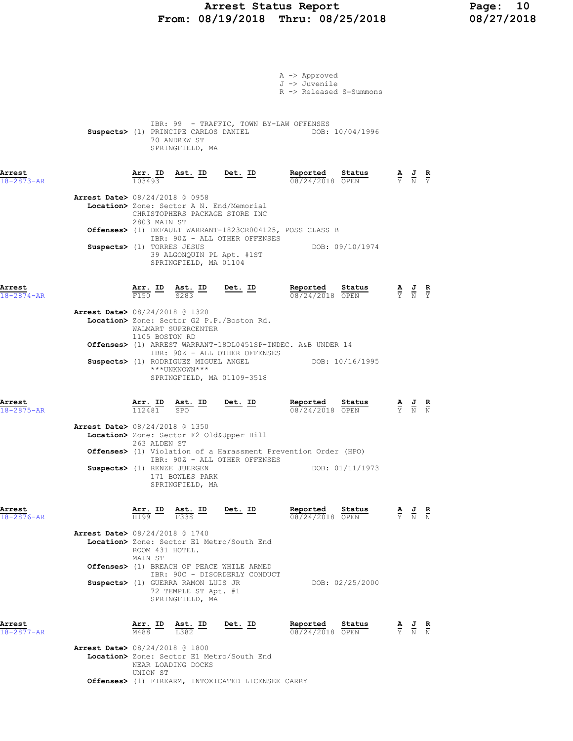# Arrest Status Report Page: 10<br>
18/19/2018 Thru: 08/25/2018 08/27/2018 From: 08/19/2018 Thru: 08/25/2018

|                                                                         |                                |                                                              |                                                                                                                         | A -> Approved<br>J -> Juvenile<br>R -> Released S=Summons                                                                                              |                                                                                                 |  |
|-------------------------------------------------------------------------|--------------------------------|--------------------------------------------------------------|-------------------------------------------------------------------------------------------------------------------------|--------------------------------------------------------------------------------------------------------------------------------------------------------|-------------------------------------------------------------------------------------------------|--|
|                                                                         |                                | 70 ANDREW ST<br>SPRINGFIELD, MA                              |                                                                                                                         | IBR: 99 - TRAFFIC, TOWN BY-LAW OFFENSES<br>Suspects> (1) PRINCIPE CARLOS DANIEL DOB: 10/04/1996                                                        |                                                                                                 |  |
| Arrest<br>$18 - 2873 - AR$                                              | Arr. ID<br>103493              |                                                              |                                                                                                                         | Ast. ID Det. ID Reported Status A J R $\frac{1}{10}$ Det. ID R $\frac{1}{08/24/2018}$ OPEN $\frac{1}{10}$ $\frac{1}{10}$ $\frac{1}{10}$ $\frac{1}{10}$ |                                                                                                 |  |
| Arrest Date> 08/24/2018 @ 0958                                          |                                |                                                              | Location> Zone: Sector A N. End/Memorial<br>CHRISTOPHERS PACKAGE STORE INC                                              |                                                                                                                                                        |                                                                                                 |  |
| Suspects> (1) TORRES JESUS                                              | 2803 MAIN ST                   | 39 ALGONQUIN PL Apt. #1ST<br>SPRINGFIELD, MA 01104           | IBR: 90Z - ALL OTHER OFFENSES                                                                                           | Offenses> (1) DEFAULT WARRANT-1823CR004125, POSS CLASS B<br>DOB: 09/10/1974                                                                            |                                                                                                 |  |
| Arrest<br>$18 - 2874 - AR$                                              |                                |                                                              | $\frac{\texttt{Arr.}}{\text{F150}}$ ID $\frac{\texttt{Ast.}}{\text{S283}}$ ID Det. ID                                   | <b>Reported Status A J R</b><br>$\frac{0.8724}{0.08724}$ OPEN $\frac{1}{2}$ N Y                                                                        |                                                                                                 |  |
| <b>Arrest Date&gt; 08/24/2018 @ 1320</b>                                | 1105 BOSTON RD                 | WALMART SUPERCENTER                                          | Location> Zone: Sector G2 P.P./Boston Rd.                                                                               |                                                                                                                                                        |                                                                                                 |  |
|                                                                         |                                | ***UNKNOWN***                                                | IBR: 90Z - ALL OTHER OFFENSES<br>SPRINGFIELD, MA 01109-3518                                                             | Offenses> (1) ARREST WARRANT-18DL0451SP-INDEC. A&B UNDER 14<br>Suspects> (1) RODRIGUEZ MIGUEL ANGEL DOB: 10/16/1995                                    |                                                                                                 |  |
| Arrest<br>$18 - 2875 - AR$                                              | $\frac{\texttt{Arr.}}{112481}$ | SPO                                                          | $\frac{\text{Ast.}}{\text{CDO}}$ ID Det. ID                                                                             | Reported Status<br>08/24/2018 OPEN                                                                                                                     | $\frac{\mathbf{A}}{\mathbf{Y}}$ $\frac{\mathbf{J}}{\mathbf{N}}$ $\frac{\mathbf{R}}{\mathbf{N}}$ |  |
| <b>Arrest Date&gt;</b> 08/24/2018 @ 1350<br>Suspects> (1) RENZE JUERGEN | 263 ALDEN ST                   | 171 BOWLES PARK<br>SPRINGFIELD, MA                           | Location> Zone: Sector F2 Old&Upper Hill<br>IBR: 90Z - ALL OTHER OFFENSES                                               | Offenses> (1) Violation of a Harassment Prevention Order (HPO)<br>DOB: 01/11/1973                                                                      |                                                                                                 |  |
| Arrest<br>$18 - 2876 - AR$                                              |                                |                                                              | $\frac{\texttt{Arr.}}{\text{H199}}$ ID $\frac{\texttt{Ast.}}{\text{F338}}$ ID Det. ID                                   | Reported Status<br>08/24/2018 OPEN                                                                                                                     | $\frac{\mathbf{A}}{\mathbf{Y}}$ $\frac{\mathbf{J}}{\mathbf{N}}$ $\frac{\mathbf{R}}{\mathbf{N}}$ |  |
| <b>Arrest Date&gt;</b> 08/24/2018 @ 1740                                | ROOM 431 HOTEL.<br>MAIN ST     | Suspects> (1) GUERRA RAMON LUIS JR                           | Location> Zone: Sector E1 Metro/South End<br>Offenses> (1) BREACH OF PEACE WHILE ARMED<br>IBR: 90C - DISORDERLY CONDUCT | DOB: 02/25/2000                                                                                                                                        |                                                                                                 |  |
|                                                                         |                                | 72 TEMPLE ST Apt. #1<br>SPRINGFIELD, MA                      |                                                                                                                         |                                                                                                                                                        |                                                                                                 |  |
| Arrest<br>$18 - 2877 - AR$<br><b>Arrest Date&gt;</b> 08/24/2018 @ 1800  | Arr. ID<br>M488                | $\frac{\texttt{Ast.}}{\text{L}382}$ ID<br>NEAR LOADING DOCKS | <u>Det. ID</u><br>Location> Zone: Sector E1 Metro/South End                                                             | Reported<br>Status<br>08/24/2018 OPEN                                                                                                                  | $\frac{\mathbf{A}}{\mathbf{Y}}$ $\frac{\mathbf{J}}{\mathbf{N}}$ $\frac{\mathbf{R}}{\mathbf{N}}$ |  |

 UNION ST Offenses> (1) FIREARM, INTOXICATED LICENSEE CARRY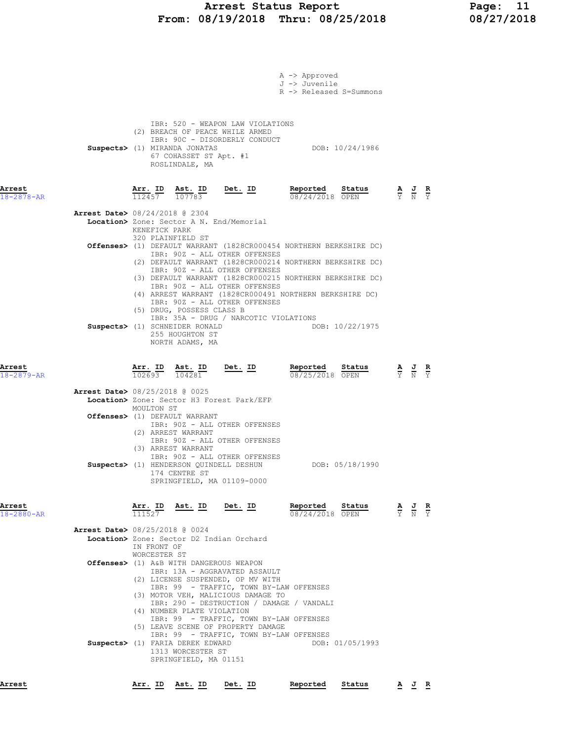# Arrest Status Report 11<br>
18/19/2018 Thru: 08/25/2018 18/27/2018 From:  $08/19/2018$  Thru:  $08/25/2018$

|                            | A -> Approved<br>J -> Juvenile<br>R -> Released S=Summons                                                                                                                                                                                                                                                                                                                                                                      |                                                                                                 |                                                                                                       |  |
|----------------------------|--------------------------------------------------------------------------------------------------------------------------------------------------------------------------------------------------------------------------------------------------------------------------------------------------------------------------------------------------------------------------------------------------------------------------------|-------------------------------------------------------------------------------------------------|-------------------------------------------------------------------------------------------------------|--|
|                            | IBR: 520 - WEAPON LAW VIOLATIONS<br>(2) BREACH OF PEACE WHILE ARMED<br>IBR: 90C - DISORDERLY CONDUCT<br>DOB: 10/24/1986<br>Suspects> (1) MIRANDA JONATAS<br>67 COHASSET ST Apt. #1<br>ROSLINDALE, MA                                                                                                                                                                                                                           |                                                                                                 |                                                                                                       |  |
| Arrest<br>18-2878-AR       | $\frac{\texttt{Arr.}}{112457}$ $\frac{\texttt{Ab.}}{107783}$ Det. ID<br>Reported Status<br>08/24/2018 OPEN                                                                                                                                                                                                                                                                                                                     |                                                                                                 | $\frac{\mathbf{A}}{\mathbf{Y}}$ $\frac{\mathbf{J}}{\mathbf{N}}$ $\frac{\mathbf{R}}{\mathbf{Y}}$       |  |
|                            | <b>Arrest Date&gt;</b> 08/24/2018 @ 2304<br>Location> Zone: Sector A N. End/Memorial<br>KENEFICK PARK                                                                                                                                                                                                                                                                                                                          |                                                                                                 |                                                                                                       |  |
|                            | 320 PLAINFIELD ST<br>Offenses> (1) DEFAULT WARRANT (1828CR000454 NORTHERN BERKSHIRE DC)<br>IBR: 90Z - ALL OTHER OFFENSES<br>(2) DEFAULT WARRANT (1828CR000214 NORTHERN BERKSHIRE DC)<br>IBR: 90Z - ALL OTHER OFFENSES                                                                                                                                                                                                          |                                                                                                 |                                                                                                       |  |
|                            | (3) DEFAULT WARRANT (1828CR000215 NORTHERN BERKSHIRE DC)<br>IBR: 90Z - ALL OTHER OFFENSES<br>(4) ARREST WARRANT (1828CR000491 NORTHERN BERKSHIRE DC)<br>IBR: 90Z - ALL OTHER OFFENSES<br>(5) DRUG, POSSESS CLASS B<br>IBR: 35A - DRUG / NARCOTIC VIOLATIONS<br>Suspects> (1) SCHNEIDER RONALD<br>DOB: 10/22/1975<br>255 HOUGHTON ST<br>NORTH ADAMS, MA                                                                         |                                                                                                 |                                                                                                       |  |
| Arrest<br>$18 - 2879 - AR$ | $\frac{\texttt{Arr. ID}}{102693}$ $\frac{\texttt{ Ast. ID}}{104281}$<br>Reported Status<br>$Det. ID$<br>$\frac{52.26 - 0.00}{08/25/2018}$ OPEN                                                                                                                                                                                                                                                                                 |                                                                                                 | $\frac{\mathbf{A}}{\overline{Y}}$ $\frac{\mathbf{J}}{\overline{N}}$ $\frac{\mathbf{R}}{\overline{Y}}$ |  |
|                            | <b>Arrest Date&gt; 08/25/2018 @ 0025</b><br>Location> Zone: Sector H3 Forest Park/EFP                                                                                                                                                                                                                                                                                                                                          |                                                                                                 |                                                                                                       |  |
|                            | MOULTON ST<br>Offenses> (1) DEFAULT WARRANT<br>IBR: 90Z - ALL OTHER OFFENSES<br>(2) ARREST WARRANT<br>IBR: 90Z - ALL OTHER OFFENSES                                                                                                                                                                                                                                                                                            |                                                                                                 |                                                                                                       |  |
|                            | (3) ARREST WARRANT<br>IBR: 90Z - ALL OTHER OFFENSES<br>DOB: 05/18/1990<br>Suspects> (1) HENDERSON QUINDELL DESHUN<br>174 CENTRE ST<br>SPRINGFIELD, MA 01109-0000                                                                                                                                                                                                                                                               |                                                                                                 |                                                                                                       |  |
| Arrest<br>$18 - 2880 - AR$ | Arr. ID Ast. ID Det. ID<br>Reported Status<br>111527<br>08/24/2018 OPEN                                                                                                                                                                                                                                                                                                                                                        | $\frac{\mathbf{A}}{\mathbf{Y}}$ $\frac{\mathbf{J}}{\mathbf{N}}$ $\frac{\mathbf{R}}{\mathbf{Y}}$ |                                                                                                       |  |
|                            | Arrest Date> 08/25/2018 @ 0024<br>Location> Zone: Sector D2 Indian Orchard                                                                                                                                                                                                                                                                                                                                                     |                                                                                                 |                                                                                                       |  |
|                            | IN FRONT OF<br>WORCESTER ST<br>Offenses> (1) A&B WITH DANGEROUS WEAPON<br>IBR: 13A - AGGRAVATED ASSAULT                                                                                                                                                                                                                                                                                                                        |                                                                                                 |                                                                                                       |  |
|                            | (2) LICENSE SUSPENDED, OP MV WITH<br>IBR: 99 - TRAFFIC, TOWN BY-LAW OFFENSES<br>(3) MOTOR VEH, MALICIOUS DAMAGE TO<br>IBR: 290 - DESTRUCTION / DAMAGE / VANDALI<br>(4) NUMBER PLATE VIOLATION<br>IBR: 99 - TRAFFIC, TOWN BY-LAW OFFENSES<br>(5) LEAVE SCENE OF PROPERTY DAMAGE<br>IBR: 99 - TRAFFIC, TOWN BY-LAW OFFENSES<br>Suspects> (1) FARIA DEREK EDWARD<br>DOB: 01/05/1993<br>1313 WORCESTER ST<br>SPRINGFIELD, MA 01151 |                                                                                                 |                                                                                                       |  |
| Arrest                     | Arr. ID<br>Ast. ID<br>Det. ID<br>Reported<br>Status                                                                                                                                                                                                                                                                                                                                                                            |                                                                                                 | AJ R                                                                                                  |  |